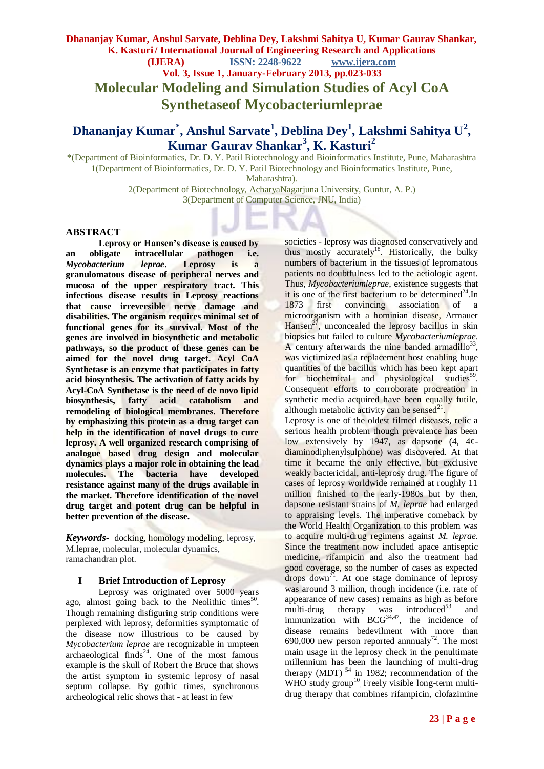**Dhananjay Kumar, Anshul Sarvate, Deblina Dey, Lakshmi Sahitya U, Kumar Gaurav Shankar, K. Kasturi / International Journal of Engineering Research and Applications (IJERA) ISSN: 2248-9622 www.ijera.com Vol. 3, Issue 1, January-February 2013, pp.023-033 Molecular Modeling and Simulation Studies of Acyl CoA Synthetaseof Mycobacteriumleprae**

# **Dhananjay Kumar\* , Anshul Sarvate<sup>1</sup> , Deblina Dey<sup>1</sup> , Lakshmi Sahitya U<sup>2</sup> , Kumar Gaurav Shankar<sup>3</sup> , K. Kasturi<sup>2</sup>**

\*(Department of Bioinformatics, Dr. D. Y. Patil Biotechnology and Bioinformatics Institute, Pune, Maharashtra 1(Department of Bioinformatics, Dr. D. Y. Patil Biotechnology and Bioinformatics Institute, Pune, Maharashtra).

> 2(Department of Biotechnology, AcharyaNagarjuna University, Guntur, A. P.) 3(Department of Computer Science, JNU, India)

#### **ABSTRACT**

**Leprosy or Hansen's disease is caused by an obligate intracellular pathogen i.e.**  *Mycobacterium leprae***. Leprosy is a granulomatous disease of peripheral nerves and mucosa of the upper respiratory tract. This infectious disease results in Leprosy reactions that cause irreversible nerve damage and disabilities. The organism requires minimal set of functional genes for its survival. Most of the genes are involved in biosynthetic and metabolic pathways, so the product of these genes can be aimed for the novel drug target. Acyl CoA Synthetase is an enzyme that participates in fatty acid biosynthesis. The activation of fatty acids by Acyl-CoA Synthetase is the need of de novo lipid biosynthesis, fatty acid catabolism and remodeling of biological membranes. Therefore by emphasizing this protein as a drug target can help in the identification of novel drugs to cure leprosy. A well organized research comprising of analogue based drug design and molecular dynamics plays a major role in obtaining the lead molecules. The bacteria have developed resistance against many of the drugs available in the market. Therefore identification of the novel drug target and potent drug can be helpful in better prevention of the disease.**

*Keywords-* docking, homology modeling, leprosy, M.leprae, molecular, molecular dynamics, ramachandran plot.

#### **I Brief Introduction of Leprosy**

Leprosy was originated over 5000 years ago, almost going back to the Neolithic times<sup>50</sup>. Though remaining disfiguring strip conditions were perplexed with leprosy, deformities symptomatic of the disease now illustrious to be caused by *Mycobacterium leprae* are recognizable in umpteen archaeological finds<sup>24</sup>. One of the most famous example is the skull of Robert the Bruce that shows the artist symptom in systemic leprosy of nasal septum collapse. By gothic times, synchronous archeological relic shows that - at least in few

societies - leprosy was diagnosed conservatively and thus mostly accurately<sup>18</sup>. Historically, the bulky numbers of bacterium in the tissues of lepromatous patients no doubtfulness led to the aetiologic agent. Thus, *Mycobacteriumleprae*, existence suggests that it is one of the first bacterium to be determined<sup>24</sup>.In 1873 first convincing association of a microorganism with a hominian disease, Armauer Hansen<sup>27</sup>, unconcealed the leprosy bacillus in skin biopsies but failed to culture *Mycobacteriumleprae*. A century afterwards the nine banded armadillo<sup>33</sup>, was victimized as a replacement host enabling huge quantities of the bacillus which has been kept apart for biochemical and physiological studies<sup>59</sup>. Consequent efforts to corroborate procreation in synthetic media acquired have been equally futile, although metabolic activity can be sensed $^{21}$ . Leprosy is one of the oldest filmed diseases, relic a serious health problem though prevalence has been low extensively by 1947, as dapsone (4, 4¢ diaminodiphenylsulphone) was discovered. At that time it became the only effective, but exclusive

weakly bactericidal, anti-leprosy drug. The figure of cases of leprosy worldwide remained at roughly 11 million finished to the early-1980s but by then, dapsone resistant strains of *M. leprae* had enlarged to appraising levels. The imperative comeback by the World Health Organization to this problem was to acquire multi-drug regimens against *M. leprae*. Since the treatment now included apace antiseptic medicine, rifampicin and also the treatment had good coverage, so the number of cases as expected drops down<sup>71</sup>. At one stage dominance of leprosy was around 3 million, though incidence (i.e. rate of appearance of new cases) remains as high as before multi-drug therapy was introduced $53$  and immunization with  $BCG^{34,47}$ , the incidence of disease remains bedevilment with more than disease remains between with  $\frac{1}{2}$ . The most 690,000 new person reported annualy<sup>72</sup>. The most main usage in the leprosy check in the penultimate millennium has been the launching of multi-drug therapy (MDT)  $54$  in 1982; recommendation of the WHO study group<sup>10</sup> Freely visible long-term multidrug therapy that combines rifampicin, clofazimine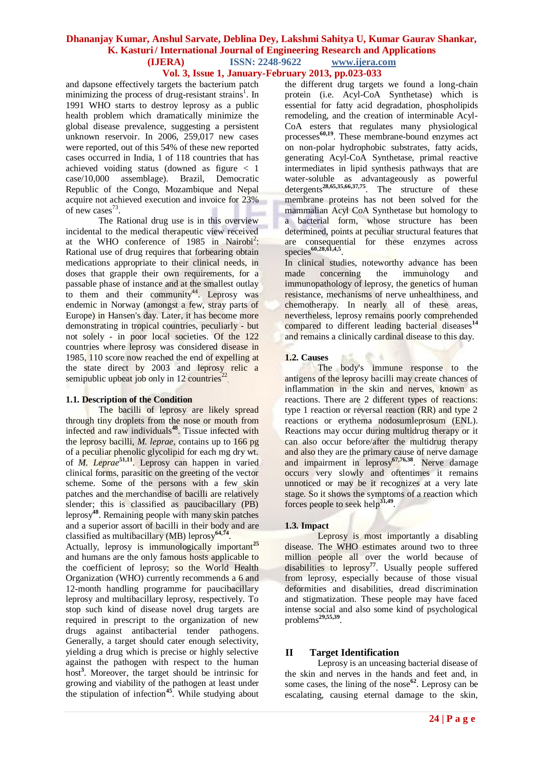# **Vol. 3, Issue 1, January-February 2013, pp.023-033**

and dapsone effectively targets the bacterium patch minimizing the process of drug-resistant strains<sup>1</sup>. In 1991 WHO starts to destroy leprosy as a public health problem which dramatically minimize the global disease prevalence, suggesting a persistent unknown reservoir. In 2006, 259,017 new cases were reported, out of this 54% of these new reported cases occurred in India, 1 of 118 countries that has achieved voiding status (downed as figure < 1 case/10,000 assemblage). Brazil, Democratic Republic of the Congo, Mozambique and Nepal acquire not achieved execution and invoice for 23% of new cases $^{73}$ .

The Rational drug use is in this overview incidental to the medical therapeutic view received at the WHO conference of 1985 in Nairobi<sup>2</sup>: Rational use of drug requires that forbearing obtain medications appropriate to their clinical needs, in doses that grapple their own requirements, for a passable phase of instance and at the smallest outlay to them and their community<sup>44</sup>. Leprosy was endemic in Norway (amongst a few, stray parts of Europe) in Hansen's day. Later, it has become more demonstrating in tropical countries, peculiarly - but not solely - in poor local societies. Of the 122 countries where leprosy was considered disease in 1985, 110 score now reached the end of expelling at the state direct by 2003 and leprosy relic a semipublic upbeat job only in 12 countries<sup>2</sup> .

#### **1.1. Description of the Condition**

The bacilli of leprosy are likely spread through tiny droplets from the nose or mouth from infected and raw individuals**<sup>48</sup>**. Tissue infected with the leprosy bacilli, *M. leprae*, contains up to 166 pg of a peculiar phenolic glycolipid for each mg dry wt. of *M. Leprae***51,11**. Leprosy can happen in varied clinical forms, parasitic on the greeting of the vector scheme. Some of the persons with a few skin patches and the merchandise of bacilli are relatively slender; this is classified as paucibacillary (PB) leprosy**<sup>48</sup>**. Remaining people with many skin patches and a superior assort of bacilli in their body and are classified as multibacillary (MB) leprosy**64,74** .

Actually, leprosy is immunologically important<sup>25</sup> and humans are the only famous hosts applicable to the coefficient of leprosy; so the World Health Organization (WHO) currently recommends a 6 and 12-month handling programme for paucibacillary leprosy and multibacillary leprosy, respectively. To stop such kind of disease novel drug targets are required in prescript to the organization of new drugs against antibacterial tender pathogens. Generally, a target should cater enough selectivity, yielding a drug which is precise or highly selective against the pathogen with respect to the human host**<sup>3</sup>** . Moreover, the target should be intrinsic for growing and viability of the pathogen at least under the stipulation of infection**<sup>45</sup>**. While studying about the different drug targets we found a long-chain protein (i.e. Acyl-CoA Synthetase) which is essential for fatty acid degradation, phospholipids remodeling, and the creation of interminable Acyl-CoA esters that regulates many physiological processes**60,19**. These membrane-bound enzymes act on non-polar hydrophobic substrates, fatty acids, generating Acyl-CoA Synthetase, primal reactive intermediates in lipid synthesis pathways that are water-soluble as advantageously as powerful detergents**28,65,35,66,37,75**. The structure of these membrane proteins has not been solved for the mammalian Acyl CoA Synthetase but homology to a bacterial form, whose structure has been determined, points at peculiar structural features that are consequential for these enzymes across species**60,28,61,4,5** .

In clinical studies, noteworthy advance has been made concerning the immunology and immunopathology of leprosy, the genetics of human resistance, mechanisms of nerve unhealthiness, and chemotherapy. In nearly all of these areas, nevertheless, leprosy remains poorly comprehended compared to different leading bacterial diseases<sup>14</sup> and remains a clinically cardinal disease to this day.

### **1.2. Causes**

The body's immune response to the antigens of the leprosy bacilli may create chances of inflammation in the skin and nerves, known as reactions. There are 2 different types of reactions: type 1 reaction or reversal reaction (RR) and type 2 reactions or erythema nodosumleprosum (ENL). Reactions may occur during multidrug therapy or it can also occur before/after the multidrug therapy and also they are the primary cause of nerve damage and impairment in leprosy**67,76,38**. Nerve damage occurs very slowly and oftentimes it remains unnoticed or may be it recognizes at a very late stage. So it shows the symptoms of a reaction which forces people to seek help**31,49** .

#### **1.3. Impact**

Leprosy is most importantly a disabling disease. The WHO estimates around two to three million people all over the world because of disabilities to leprosy<sup>77</sup>. Usually people suffered from leprosy, especially because of those visual deformities and disabilities, dread discrimination and stigmatization. These people may have faced intense social and also some kind of psychological problems**29,55,39** .

# **II Target Identification**

Leprosy is an unceasing bacterial disease of the skin and nerves in the hands and feet and, in some cases, the lining of the nose**<sup>62</sup>**. Leprosy can be escalating, causing eternal damage to the skin,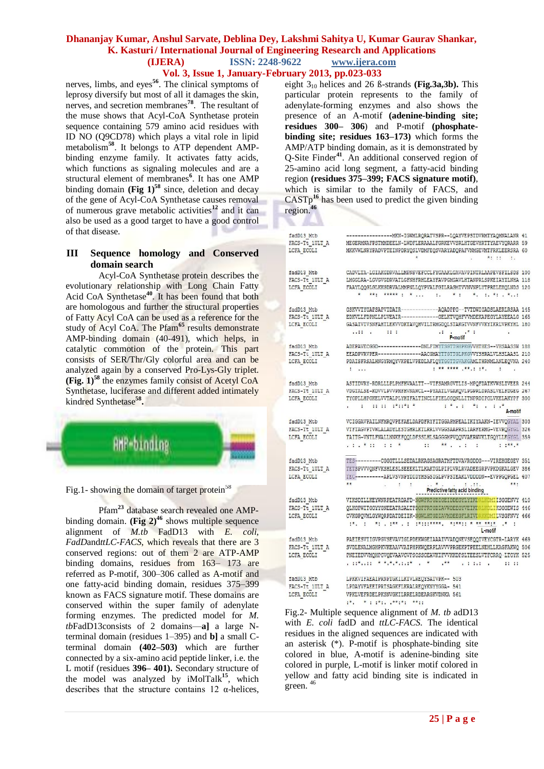# **Vol. 3, Issue 1, January-February 2013, pp.023-033**

nerves, limbs, and eyes**<sup>56</sup>**. The clinical symptoms of leprosy diversify but most of all it damages the skin, nerves, and secretion membranes**<sup>78</sup>**. The resultant of the muse shows that Acyl-CoA Synthetase protein sequence containing 579 amino acid residues with ID NO (Q9CD78) which plays a vital role in lipid metabolism**<sup>58</sup>**. It belongs to ATP dependent AMPbinding enzyme family. It activates fatty acids, which functions as signaling molecules and are a structural element of membranes**<sup>6</sup>** . It has one AMP binding domain **(Fig 1)<sup>58</sup>** since, deletion and decay of the gene of Acyl-CoA Synthetase causes removal of numerous grave metabolic activities**<sup>12</sup>** and it can also be used as a good target to have a good control of that disease.

# **III Sequence homology and Conserved domain search**

Acyl-CoA Synthetase protein describes the evolutionary relationship with Long Chain Fatty Acid CoA Synthetase**<sup>40</sup>**. It has been found that both are homologous and further the structural properties of Fatty Acyl CoA can be used as a reference for the study of Acyl CoA. The Pfam**<sup>65</sup>** results demonstrate AMP-binding domain (40-491), which helps, in catalytic commotion of the protein. This part consists of SER/Thr/Gly colorful area and can be analyzed again by a conserved Pro-Lys-Gly triplet. **(Fig. 1)<sup>58</sup>** the enzymes family consist of Acetyl CoA Synthetase, luciferase and different added intimately kindred Synthetase**<sup>58</sup> .**



Fig.1- showing the domain of target protein<sup>58</sup>

Pfam**<sup>23</sup>** database search revealed one AMPbinding domain. **(Fig 2)<sup>46</sup>** shows multiple sequence alignment of *M.tb* FadD13 with *E. coli, FadD*and*ttLC-FACS*, which reveals that there are 3 conserved regions: out of them 2 are ATP-AMP binding domains, residues from 163– 173 are referred as P-motif, 300–306 called as A-motif and one fatty-acid binding domain, residues 375–399 known as FACS signature motif. These domains are conserved within the super family of adenylate forming enzymes. The predicted model for *M. tb*FadD13consists of 2 domains—**a]** a large Nterminal domain (residues 1–395) and **b]** a small Cterminal domain **(402–503)** which are further connected by a six-amino acid peptide linker, i.e. the L motif (residues **396– 401).** Secondary structure of the model was analyzed by iMolTalk**<sup>15</sup>**, which describes that the structure contains  $12 \alpha$ -helices, eight 310 helices and 26 ß-strands **(Fig.3a,3b).** This particular protein represents to the family of adenylate-forming enzymes and also shows the presence of an A-motif **(adenine-binding site; residues 300– 306**) and P-motif **(phosphatebinding site; residues 163–173)** which forms the AMP/ATP binding domain, as it is demonstrated by Q-Site Finder**<sup>41</sup>**. An additional conserved region of 25-amino acid long segment, a fatty-acid binding region **(residues 375–399; FACS signature motif)**, which is similar to the family of FACS, and CASTp**<sup>16</sup>** has been used to predict the given binding region.**<sup>46</sup>**

| fadD13 Mtb     | ------------------ MKN-IGWMLRQRATVSPR--LQAYVEPSTDVRMTYAQMNALANR 41                                                                                                                                                             |  |
|----------------|--------------------------------------------------------------------------------------------------------------------------------------------------------------------------------------------------------------------------------|--|
| FACS-Tt 1ULT A | MEGERMNAFPSTMMDEELN-LWDFLERAAALFGRKEVVSRLHTGEVHRTTYAEVYORARR 59                                                                                                                                                                |  |
| LCFA ECOLI     | MKKVWLNRYPADVPTEINPDRYOSLVDMFEOSVARYADOPAFVNMGEVMTFRKLEERSRA 60                                                                                                                                                                |  |
|                |                                                                                                                                                                                                                                |  |
| fadD13 Mtb     | CADVLTA-LGIAKGDRVALLMPNSVEFCCLFYGAAKLGAVAVPINTRLAAPEVSFILSDS 100                                                                                                                                                               |  |
| FACS-Tt 1ULT A | LMGGLRA-LGVGVGDRVATLGFNHFRHLEAYFAVPGMGAVLHTANPRLSPKEIAYILNHA 118                                                                                                                                                               |  |
| LCFA ECOLI     | FAAYLQQGLGLKKGDRVALMMPNLLQYPVALFGILRAGMIVVNVNPLYTPRELEHQLNDS 120                                                                                                                                                               |  |
|                | * **: ***** : *  - :. - * : - *. :. *: . *:                                                                                                                                                                                    |  |
| fadD13 Mtb     | GSKVVIYGAPSAPVIDAIR------------- AQADPPG--TVTDWIGADSLAERLRSAA 145                                                                                                                                                              |  |
| FACS-Tt 1ULT A | EDKVLLFDPNLLPLVEAIR------------GELKTVQHFVVMDEKAPEGYLAYEEALG 165                                                                                                                                                                |  |
| LCFA ECOLI     | GASAIVIVSNFAHTLEKVVDKTAVQHVILTRMGDQLSTAKGTVVNFVVKYIKRLVPKYHL 180                                                                                                                                                               |  |
|                | <b>COMPANY</b><br>                                                                                                                                                                                                             |  |
|                |                                                                                                                                                                                                                                |  |
| fadD13 Mtb     | ADEPAVECGGD---------------DNLFIMYTSGTTGHPKGVVHTHES--VHSAASSW 186                                                                                                                                                               |  |
| FACS-Tt 1ULT A | EEADPVRVPER --------------- AACGMAYTTGTTGLPKGVVYSHRALVLHSLAASL 210                                                                                                                                                             |  |
| LCFA ECOLI     | PDAISFRSALHNGYRMQYVKPELVPEDLAFLQYTGGTTGVAKGAMLTHRNMLANLEQVNA 240                                                                                                                                                               |  |
|                | a we week away away to a<br>$1 - 11$                                                                                                                                                                                           |  |
| fadD13 Mtb     | ASTIDVRY-RDRLLLPLPMFHVAALTT--VIFSAMRGVTLIS-MPQFDATKVWSLIVEER 244                                                                                                                                                               |  |
| FACS-Tt 1ULT A | VDGTALSE-KDVVLPVVPMFHVNAWCL--PYAATLVGAKQVLPGPRLDPASLVELFDGEG 267                                                                                                                                                               |  |
| LCFA ECOLI     | TYGPLLHPGKELVVTALPLYHIFALTINCLLFIELGGQNLLITNPRDIPGLVKELAKYPF 300                                                                                                                                                               |  |
|                | $\mathbf{r} = \mathbf{r} - \mathbf{r}$<br>生产工作 计数据 计字母<br>A-motif                                                                                                                                                              |  |
|                |                                                                                                                                                                                                                                |  |
| fadD13 Mtb     | VCIGGAVPAILNFMRQVPEFAELDAPDFRYFITGGAPMPEALIKIYAAKN-IEVVQGYAL 303                                                                                                                                                               |  |
| FACS-Tt 1ULT A | VTFTAGVPTVWLALADYLESTGHRLKTLRRLVVGGSAAPRSLIARFERMG-VEVRQGYGL 326                                                                                                                                                               |  |
| LCFA ECOLI     | TAITG-VNTLFNALLNNKEFQQLDFSSLHLSAGGGMPVQQVVAERWVKLTGQYLLEGYGL 359                                                                                                                                                               |  |
|                | 医生物质 计数字 医心包 计数据 医心包 医心包 计数据库                                                                                                                                                                                                  |  |
| fadD13 Mtb     | TES---------CGGGTLLLSEDALRKAGSAGRATMFTDVAVRGDDG---VIREHGEGEV 351                                                                                                                                                               |  |
| FACS-Tt 1ULT A | TETSPVVVONFVKSHLESLSEEEKLTLKAKTGLPIPLVRLRVADEEGRPVPKDGKALGEV 386                                                                                                                                                               |  |
| LCFA ECOLI     | TEC ---------- APLVSVNPYDIDYHSGSIGLPVPSTEAKLVDDDDN--EVPPGOPGEL 407                                                                                                                                                             |  |
|                | 京京<br>***<br>$\ddot{\phantom{a}}$<br>$\mathbf{r}$                                                                                                                                                                              |  |
|                | Predictive fatty acid binding                                                                                                                                                                                                  |  |
| fadD13 Mtb     | VIKSDILLKEYWNRPEATRDAFD-NGWFRTGDIGEIDDEGYLYIKDRLKDMIISGGENVY 410                                                                                                                                                               |  |
| FACS-Tt 1ULT A | OLKGPWITGGYYGNEEATRSALTPDGFFRTGDIAVWDEEGYVEIKDRLKDLIKSGGEWIS 446                                                                                                                                                               |  |
| LCFA ECOLI     | CVKGPOVMLGYWORPDATDEIIK-NGWLHTGDIAVMDEEGFLRIVDRKKDMILVSGFNVY 466                                                                                                                                                               |  |
|                | in, i ini inn i iniiinnna, aissii a aa asia is i                                                                                                                                                                               |  |
|                | L-motif                                                                                                                                                                                                                        |  |
| fadD13 Mtb     | PAEIESVIIGVPGVSEVAVIGLPDEKWGEIAAAIVVADQNEVSEQQIVEYCGTR-LARYK 469                                                                                                                                                               |  |
| FACS-Tt 1ULT A | SVDLENALMGHPKVKEAAVVAIPHPKWQERPLAVVVPRGEKPTPEELNEHLLKAGFAKWQ 506                                                                                                                                                               |  |
| LCFA ECOLI     | PNEIEDVVMOHPGVOEVAAVGVPSGSSGEAVKIFVVKKDPSLTEESLVTFCRRO-LTGYK 525                                                                                                                                                               |  |
|                | vantila totiturato in the second community of the community of the community of the community of the community of the community of the community of the community of the community of the community of the community of the co |  |
|                |                                                                                                                                                                                                                                |  |
| fadD13 Mtb     | LPKKVIFAEAIPRNPTGKILKTVLREQYSATVPK-- 503                                                                                                                                                                                       |  |
| FACS-Tt 1ULT A | LPDAYVFAEEIPRTSAGKFLKRALREQYKNYYGGA- 541                                                                                                                                                                                       |  |
| LCFA ECOLI     | VPKLVEFRDELPKSNVGKILRRELRDEARGKVDNKA 561                                                                                                                                                                                       |  |
|                | physical physical exists the control                                                                                                                                                                                           |  |
|                |                                                                                                                                                                                                                                |  |

Fig.2- Multiple sequence alignment of *M. tb* adD13 with *E. coli* fadD and *ttLC-FACS*. The identical residues in the aligned sequences are indicated with an asterisk (\*). P-motif is phosphate-binding site colored in blue, A-motif is adenine-binding site colored in purple, L-motif is linker motif colored in yellow and fatty acid binding site is indicated in green. <sup>46</sup>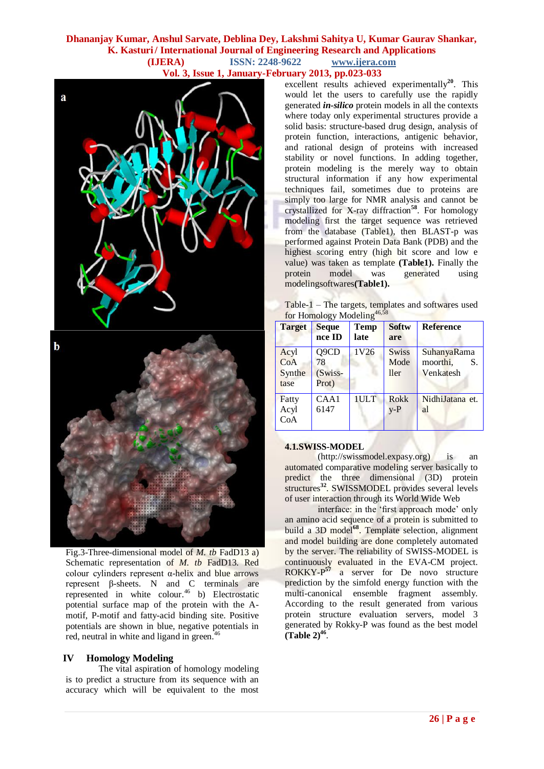# **Dhananjay Kumar, Anshul Sarvate, Deblina Dey, Lakshmi Sahitya U, Kumar Gaurav Shankar, K. Kasturi / International Journal of Engineering Research and Applications (IJERA) ISSN: 2248-9622 www.ijera.com Vol. 3, Issue 1, January-February 2013, pp.023-033**



excellent results achieved experimentally<sup>20</sup>. This would let the users to carefully use the rapidly generated *in-silico* protein models in all the contexts where today only experimental structures provide a solid basis: structure-based drug design, analysis of protein function, interactions, antigenic behavior, and rational design of proteins with increased stability or novel functions. In adding together, protein modeling is the merely way to obtain structural information if any how experimental techniques fail, sometimes due to proteins are simply too large for NMR analysis and cannot be crystallized for X-ray diffraction**<sup>58</sup>** . For homology modeling first the target sequence was retrieved from the database (Table1), then BLAST-p was performed against Protein Data Bank (PDB) and the highest scoring entry (high bit score and low e value) was taken as template **(Table1).** Finally the protein model was generated using modelingsoftwares**(Table1).**

Table-1 – The targets, templates and softwares used for Homology Modeling<sup>46,5</sup>

|                               | 101.151101067, 111000011115    |                     |                              |                                            |  |  |  |  |
|-------------------------------|--------------------------------|---------------------|------------------------------|--------------------------------------------|--|--|--|--|
| <b>Target</b>                 | <b>Seque</b><br>nce ID         | <b>Temp</b><br>late | <b>Softw</b><br>are          | <b>Reference</b>                           |  |  |  |  |
| Acyl<br>CoA<br>Synthe<br>tase | Q9CD<br>78<br>(Swiss-<br>Prot) | 1V26                | <b>Swiss</b><br>Mode<br>ller | SuhanyaRama<br>moorthi,<br>S.<br>Venkatesh |  |  |  |  |
| Fatty<br>Acyl<br>CoA          | CAA1<br>6147                   | 1ULT                | Rokk<br>$v-P$                | NidhiJatana et.<br>al                      |  |  |  |  |

### **4.1.SWISS-MODEL**

(http://swissmodel.expasy.org) is an automated comparative modeling server basically to predict the three dimensional (3D) protein structures<sup>32</sup>. SWISSMODEL provides several levels of user interaction through its World Wide Web

interface: in the 'first approach mode' only an amino acid sequence of a protein is submitted to build a 3D model<sup>68</sup>. Template selection, alignment and model building are done completely automated by the server. The reliability of SWISS-MODEL is continuously evaluated in the EVA-CM project. ROKKY-P **<sup>57</sup>** a server for De novo structure prediction by the simfold energy function with the multi-canonical ensemble fragment assembly. According to the result generated from various protein structure evaluation servers, model 3 generated by Rokky-P was found as the best model  $(Table 2)^{46}$ .

Fig.3-Three-dimensional model of *M. tb* FadD13 a) Schematic representation of *M. tb* FadD13. Red colour cylinders represent  $α$ -helix and blue arrows represent β-sheets. N and C terminals are represented in white colour.<sup>46</sup> b) Electrostatic potential surface map of the protein with the Amotif, P-motif and fatty-acid binding site. Positive potentials are shown in blue, negative potentials in red, neutral in white and ligand in green.<sup>4</sup>

# **IV Homology Modeling**

The vital aspiration of homology modeling is to predict a structure from its sequence with an accuracy which will be equivalent to the most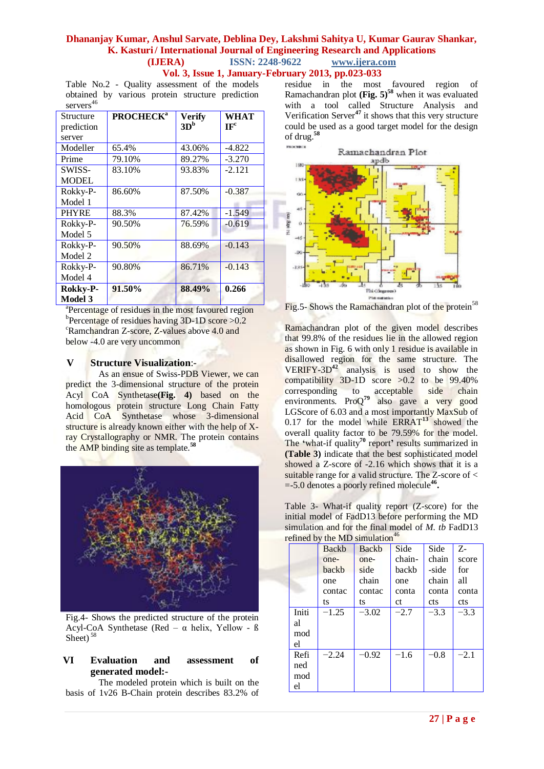**Vol. 3, Issue 1, January-February 2013, pp.023-033**

Table No.2 - Quality assessment of the models obtained by various protein structure prediction servers<sup>46</sup>

| Structure<br>prediction | <b>PROCHECK<sup>a</sup></b> | <b>Verify</b><br>3D <sup>b</sup> | WHAT<br>IF <sup>c</sup> |
|-------------------------|-----------------------------|----------------------------------|-------------------------|
| server                  |                             |                                  |                         |
| Modeller                | 65.4%                       | 43.06%                           | $-4.822$                |
| Prime                   | 79.10%                      | 89.27%                           | $-3.270$                |
| SWISS-                  | 83.10%                      | 93.83%                           | $-2.121$                |
| <b>MODEL</b>            |                             |                                  |                         |
| Rokky-P-                | 86.60%                      | 87.50%                           | $-0.387$                |
| Model 1                 |                             |                                  |                         |
| <b>PHYRE</b>            | 88.3%                       | 87.42%                           | $-1.549$                |
| Rokky-P-                | 90.50%                      | 76.59%                           | $-0.619$                |
| Model 5                 |                             |                                  |                         |
| Rokky-P-                | 90.50%                      | 88.69%                           | $-0.143$                |
| Model 2                 |                             |                                  |                         |
| Rokky-P-                | 90.80%                      | 86.71%                           | $-0.143$                |
| Model 4                 |                             |                                  |                         |
| <b>Rokky-P-</b>         | 91.50%                      | 88.49%                           | 0.266                   |
| <b>Model 3</b>          |                             |                                  |                         |

<sup>a</sup>Percentage of residues in the most favoured region <sup>b</sup>Percentage of residues having 3D-1D score >0.2 <sup>c</sup>Ramchandran Z-score, Z-values above 4.0 and below -4.0 are very uncommon

### **V Structure Visualization**:-

As an ensue of Swiss-PDB Viewer, we can predict the 3-dimensional structure of the protein Acyl CoA Synthetase**(Fig. 4)** based on the homologous protein structure Long Chain Fatty Acid CoA Synthetase whose 3-dimensional structure is already known either with the help of Xray Crystallography or NMR. The protein contains the AMP binding site as template.**<sup>58</sup>**



Fig.4- Shows the predicted structure of the protein Acyl-CoA Synthetase (Red –  $\alpha$  helix, Yellow - ß Sheet) $5<sup>5</sup>$ 

# **VI Evaluation and assessment of generated model:-**

The modeled protein which is built on the basis of 1v26 B-Chain protein describes 83.2% of residue in the most favoured region of Ramachandran plot **(Fig. 5)<sup>58</sup>** when it was evaluated with a tool called Structure Analysis and Verification Server**<sup>47</sup>** it shows that this very structure could be used as a good target model for the design of drug.**<sup>58</sup>**



Fig.5- Shows the Ramachandran plot of the protein<sup>58</sup>

Ramachandran plot of the given model describes that 99.8% of the residues lie in the allowed region as shown in Fig. 6 with only 1 residue is available in disallowed region for the same structure. The VERIFY-3D**<sup>42</sup>** analysis is used to show the compatibility 3D-1D score >0.2 to be 99.40% corresponding to acceptable side chain environments. ProQ**<sup>79</sup>** also gave a very good LGScore of 6.03 and a most importantly MaxSub of 0.17 for the model while ERRAT**<sup>13</sup>** showed the overall quality factor to be 79.59% for the model. The **'**what-if quality**<sup>70</sup>** report**'** results summarized in **(Table 3)** indicate that the best sophisticated model showed a Z-score of -2.16 which shows that it is a suitable range for a valid structure. The Z-score of < =-5.0 denotes a poorly refined molecule**<sup>46</sup> .**

Table 3- What-if quality report (Z-score) for the initial model of FadD13 before performing the MD simulation and for the final model of *M. tb* FadD13 refined by the  $MD$  simulation<sup>46</sup>

| enneg ov the ivid simulation |              |         |        |            |            |  |  |
|------------------------------|--------------|---------|--------|------------|------------|--|--|
|                              | <b>Backb</b> | Backb   | Side   | Side       | Z-         |  |  |
|                              | one-         | one-    | chain- | chain      | score      |  |  |
|                              | backb        | side    | backb  | -side      | for        |  |  |
|                              | one          | chain   | one    | chain      | all        |  |  |
|                              | contac       | contac  | conta  | conta      | conta      |  |  |
|                              | ts           | ts      | ct     | <b>cts</b> | <b>cts</b> |  |  |
| Initi                        | $-1.25$      | $-3.02$ | $-2.7$ | $-3.3$     | $-3.3$     |  |  |
| al                           |              |         |        |            |            |  |  |
| mod                          |              |         |        |            |            |  |  |
| el                           |              |         |        |            |            |  |  |
| Refi                         | $-2.24$      | $-0.92$ | $-1.6$ | $-0.8$     | $-2.1$     |  |  |
| ned                          |              |         |        |            |            |  |  |
| mod                          |              |         |        |            |            |  |  |
| el                           |              |         |        |            |            |  |  |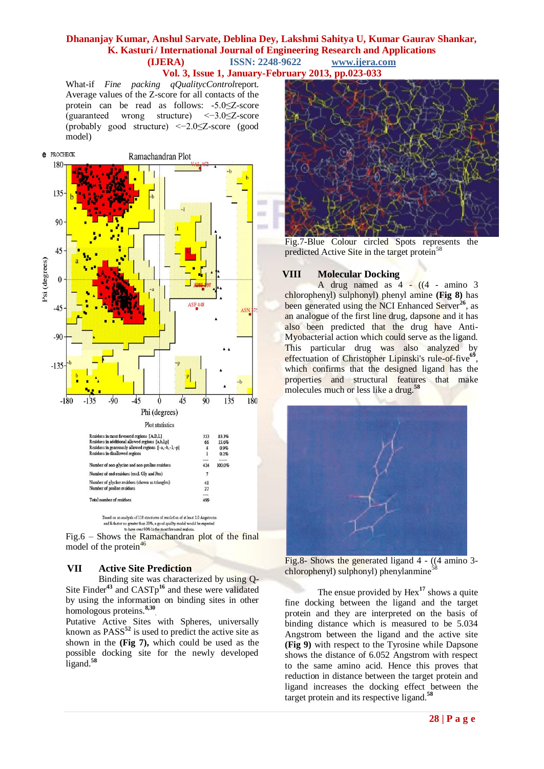### **Dhananjay Kumar, Anshul Sarvate, Deblina Dey, Lakshmi Sahitya U, Kumar Gaurav Shankar, K. Kasturi/International Journal of Engineering Research and Applications (IJERA)** ISSN: 2248-9622 www.ijera.com **(IJERA)** ISSN: 2248-9622 **Vol. 3, Issue 1, January-February 2013, pp.023-033**

What-if *Fine packing qQualitycControl*report. Average values of the Z-score for all contacts of the protein can be read as follows: -5.0≤Z-score (guaranteed wrong structure) <−3.0≤Z-score (probably good structure) <−2.0≤Z-score (good model)





model of the protein $46$ 

# **VII Active Site Prediction**

Binding site was characterized by using Q-Site Finder<sup>43</sup> and CASTp<sup>16</sup> and these were validated by using the information on binding sites in other homologous proteins.**8,30** .

Putative Active Sites with Spheres, universally known as PASS**<sup>52</sup>** is used to predict the active site as shown in the **(Fig 7),** which could be used as the possible docking site for the newly developed ligand.**<sup>58</sup>**



Fig.7-Blue Colour circled Spots represents the predicted Active Site in the target protein<sup>58</sup>

#### **VIII Molecular Docking**

A drug named as  $4 - ((4 - \text{ amino } 3$ chlorophenyl) sulphonyl) phenyl amine **(Fig 8)** has been generated using the NCI Enhanced Server<sup>26</sup>, as an analogue of the first line drug, dapsone and it has also been predicted that the drug have Anti-Myobacterial action which could serve as the ligand. This particular drug was also analyzed by effectuation of Christopher Lipinski's rule-of-five<sup>69</sup>, which confirms that the designed ligand has the properties and structural features that make molecules much or less like a drug.<sup>58</sup>



Fig.8- Shows the generated ligand 4 - ((4 amino 3 chlorophenyl) sulphonyl) phenylanmine<sup>5</sup>

The ensue provided by Hex<sup>17</sup> shows a quite fine docking between the ligand and the target protein and they are interpreted on the basis of binding distance which is measured to be 5.034 Angstrom between the ligand and the active site **(Fig 9)** with respect to the Tyrosine while Dapsone shows the distance of 6.052 Angstrom with respect to the same amino acid. Hence this proves that reduction in distance between the target protein and ligand increases the docking effect between the target protein and its respective ligand.**<sup>58</sup>**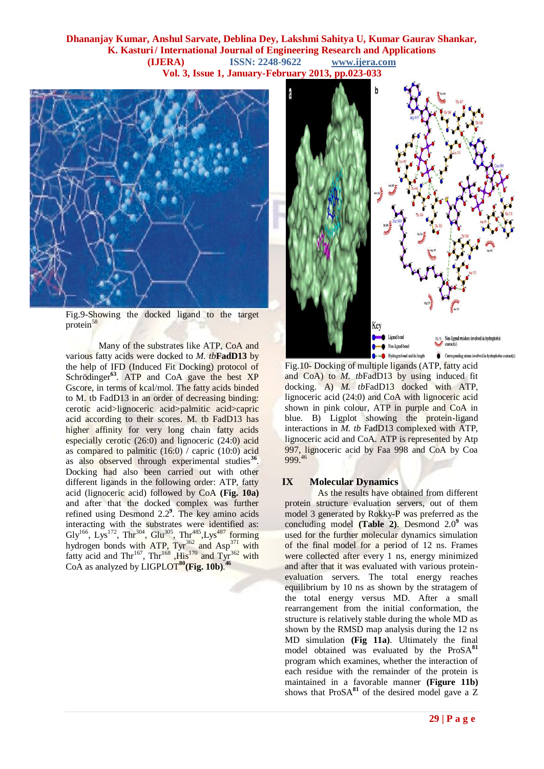# **Dhananjay Kumar, Anshul Sarvate, Deblina Dey, Lakshmi Sahitya U, Kumar Gaurav Shankar, K. Kasturi/International Journal of Engineering Research and Applications (IJERA)** ISSN: 2248-9622 www.ijera.com **(IJERA)** ISSN: 2248-9622 **Vol. 3, Issue 1, January-February 2013, pp.023-033**



Fig.9-Showing the docked ligand to the target protein<sup>58</sup>

Many of the substrates like ATP, CoA and various fatty acids were docked to *M. tb***FadD13** by the help of IFD (Induced Fit Docking) protocol of Schrödinger<sup>63</sup>. ATP and CoA gave the best XP Gscore, in terms of kcal/mol. The fatty acids binded to M. tb FadD13 in an order of decreasing binding: cerotic acid>lignoceric acid>palmitic acid>capric acid according to their scores. M. tb FadD13 has higher affinity for very long chain fatty acids especially cerotic (26:0) and lignoceric (24:0) acid as compared to palmitic (16:0) / capric (10:0) acid as also observed through experimental studies<sup>3</sup> . Docking had also been carried out with other different ligands in the following order: ATP, fatty acid (lignoceric acid) followed by CoA **(Fig. 10a)**  and after that the docked complex was further refined using Desmond 2.2**<sup>9</sup>** . The key amino acids interacting with the substrates were identified as: Gly<sup>166</sup>, Lys<sup>172</sup>, Thr<sup>304</sup>, Glu<sup>305</sup>, Thr<sup>485</sup>, Lys<sup>487</sup> forming hydrogen bonds with ATP,  $\text{Tyr}^{362}$  and Asp<sup>371</sup> with fatty acid and Thr<sup>167</sup>, Thr<sup>168</sup>, His<sup>170</sup> and Tyr<sup>362</sup> with CoA as analyzed by LIGPLOT**<sup>80</sup>(Fig. 10b)**. **46**



Fig.10- Docking of multiple ligands (ATP, fatty acid and CoA) to *M. tb*FadD13 by using induced fit docking. A) *M. tb*FadD13 docked with ATP, lignoceric acid (24:0) and CoA with lignoceric acid shown in pink colour, ATP in purple and CoA in blue. B) Ligplot showing the protein-ligand interactions in *M. tb* FadD13 complexed with ATP, lignoceric acid and CoA. ATP is represented by Atp 997, lignoceric acid by Faa 998 and CoA by Coa 999.<sup>46</sup>

#### **IX Molecular Dynamics**

As the results have obtained from different protein structure evaluation servers, out of them model 3 generated by Rokky-P was preferred as the concluding model **(Table 2)**. Desmond 2.0**<sup>9</sup>** was used for the further molecular dynamics simulation of the final model for a period of 12 ns. Frames were collected after every 1 ns, energy minimized and after that it was evaluated with various proteinevaluation servers. The total energy reaches equilibrium by 10 ns as shown by the stratagem of the total energy versus MD. After a small rearrangement from the initial conformation, the structure is relatively stable during the whole MD as shown by the RMSD map analysis during the 12 ns MD simulation **(Fig 11a)**. Ultimately the final model obtained was evaluated by the ProSA**<sup>81</sup>** program which examines, whether the interaction of each residue with the remainder of the protein is maintained in a favorable manner **(Figure 11b)** shows that ProSA<sup>81</sup> of the desired model gave a Z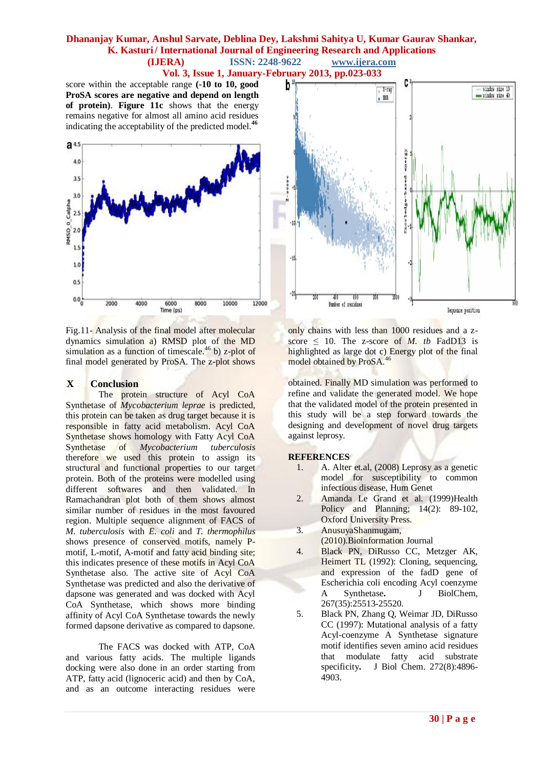**Vol. 3, Issue 1, January-February 2013, pp.023-033**

score within the acceptable range **(-10 to 10, good ProSA scores are negative and depend on length of protein)**. **Figure 11c** shows that the energy remains negative for almost all amino acid residues indicating the acceptability of the predicted model.**<sup>46</sup>**



Fig.11- Analysis of the final model after molecular dynamics simulation a) RMSD plot of the MD simulation as a function of timescale.<sup>46</sup> b) z-plot of final model generated by ProSA. The z-plot shows

# **X Conclusion**

The protein structure of Acyl CoA Synthetase of *Mycobacterium leprae* is predicted, this protein can be taken as drug target because it is responsible in fatty acid metabolism. Acyl CoA Synthetase shows homology with Fatty Acyl CoA<br>Synthetase of *Mycobacterium tuberculosis*  $Mycobacterium$ therefore we used this protein to assign its structural and functional properties to our target protein. Both of the proteins were modelled using different softwares and then validated. In Ramachandran plot both of them shows almost similar number of residues in the most favoured region. Multiple sequence alignment of FACS of *M. tuberculosis* with *E. coli* and *T. thermophilus* shows presence of conserved motifs, namely Pmotif, L-motif, A-motif and fatty acid binding site; this indicates presence of these motifs in Acyl CoA Synthetase also. The active site of Acyl CoA Synthetase was predicted and also the derivative of dapsone was generated and was docked with Acyl CoA Synthetase, which shows more binding affinity of Acyl CoA Synthetase towards the newly formed dapsone derivative as compared to dapsone.

The FACS was docked with ATP, CoA and various fatty acids. The multiple ligands docking were also done in an order starting from ATP, fatty acid (lignoceric acid) and then by CoA, and as an outcome interacting residues were



only chains with less than 1000 residues and a zscore  $\leq$  10. The z-score of *M. tb* FadD13 is highlighted as large dot c) Energy plot of the final model obtained by ProSA.<sup>46</sup>

obtained. Finally MD simulation was performed to refine and validate the generated model. We hope that the validated model of the protein presented in this study will be a step forward towards the designing and development of novel drug targets against leprosy.

#### **REFERENCES**

- 1. A. Alter et.al, (2008) Leprosy as a genetic model for susceptibility to common infectious disease, Hum Genet
- 2. Amanda Le Grand et al. (1999)Health Policy and Planning; 14(2): 89-102, Oxford University Press.
- 3. AnusuyaShanmugam, (2010).Bioinformation Journal
- 4. Black PN, DiRusso CC, Metzger AK, Heimert TL (1992): Cloning, sequencing, and expression of the fadD gene of Escherichia coli encoding Acyl coenzyme A Synthetase**.** J BiolChem, 267(35):25513-25520.
- 5. Black PN, Zhang Q, Weimar JD, DiRusso CC (1997): Mutational analysis of a fatty Acyl-coenzyme A Synthetase signature motif identifies seven amino acid residues that modulate fatty acid substrate specificity**.** J Biol Chem. 272(8):4896- 4903.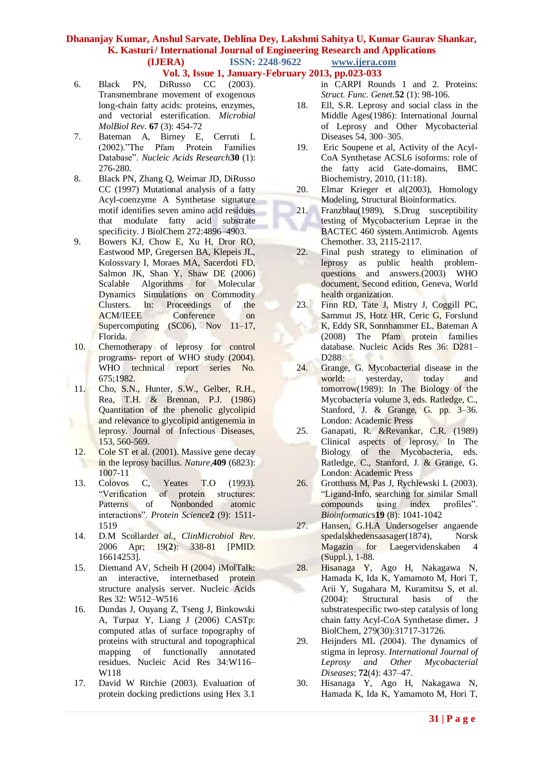**Vol. 3, Issue 1, January-February 2013, pp.023-033**

- 6. Black PN, DiRusso CC (2003). Transmembrane movement of exogenous long-chain fatty acids: proteins, enzymes, and vectorial esterification. *Microbial MolBiol Rev.* **67** (3): 454-72
- 7. Bateman A, Birney E, Cerruti L (2002)."The Pfam Protein Families Database". *Nucleic Acids Research* 30 (1): 276-280.
- 8. Black PN, Zhang Q, Weimar JD, DiRusso CC (1997) Mutational analysis of a fatty Acyl-coenzyme A Synthetase signature motif identifies seven amino acid residues that modulate fatty acid substrate specificity. J BiolChem 272:4896-4903.
- 9. Bowers KJ, Chow E, Xu H, Dror RO, Eastwood MP, Gregersen BA, Klepeis JL, Kolossvary I, Moraes MA, Sacerdoti FD, Salmon JK, Shan Y, Shaw DE (2006) Scalable Algorithms for Molecular Dynamics Simulations on Commodity Clusters. In: Proceedings of the ACM/IEEE Conference on Supercomputing (SC06), Nov 11–17, Florida.
- 10. Chemotherapy of leprosy for control programs- report of WHO study (2004). WHO technical report series No. 675;1982.
- 11. Cho, S.N., Hunter, S.W., Gelber, R.H., Rea, T.H. & Brennan, P.J. (1986) Quantitation of the phenolic glycolipid and relevance to glycolipid antigenemia in leprosy. Journal of Infectious Diseases, 153, 560-569.
- 12. Cole ST et al. (2001). Massive gene decay in the leprosy bacillus. *Nature,***409** (6823): 1007-11
- 13. Colovos C, Yeates T.O (1993). "Verification of protein structures: Patterns of Nonbonded atomic interactions‖. *Protein Science***2** (9): 1511- 1519
- 14. D.M Scollard*et al., ClinMicrobiol Rev*. 2006 Apr; 19(**2**): 338-81 [PMID: 16614253].
- 15. Diemand AV, Scheib H (2004) iMolTalk: an interactive, internetbased protein structure analysis server. Nucleic Acids Res 32: W512–W516
- 16. Dundas J, Ouyang Z, Tseng J, Binkowski A, Turpaz Y, Liang J (2006) CASTp: computed atlas of surface topography of proteins with structural and topographical mapping of functionally annotated residues. Nucleic Acid Res 34:W116– W118
- 17. David W Ritchie (2003). Evaluation of protein docking predictions using Hex 3.1
- in CARPI Rounds 1 and 2. Proteins: *Struct. Func. Genet.***52** (1): 98-106.
- 18. Ell, S.R. Leprosy and social class in the Middle Ages(1986): International Journal of Leprosy and Other Mycobacterial Diseases 54, 300–305.
- 19. Eric Soupene et al, Activity of the Acyl-CoA Synthetase ACSL6 isoforms: role of the fatty acid Gate-domains, BMC Biochemistry, 2010, (11:18).
- 20. Elmar Krieger et al(2003), Homology Modeling, Structural Bioinformatics.
- 21. Franzblau(1989), S.Drug susceptibility testing of Mycobacterium Leprae in the BACTEC 460 system.Antimicrob. Agents Chemother. 33, 2115-2117.
- 22. Final push strategy to elimination of leprosy as public health problemquestions and answers.(2003) WHO document, Second edition, Geneva, World health organization.
- 23. Finn RD, Tate J, Mistry J, Coggill PC, Sammut JS, Hotz HR, Ceric G, Forslund K, Eddy SR, Sonnhammer EL, Bateman A (2008) The Pfam protein families database. Nucleic Acids Res 36: D281– D288
- 24. Grange, G. Mycobacterial disease in the world: yesterday, today and tomorrow(1989): In The Biology of the Mycobacteria volume 3, eds. Ratledge, C., Stanford, J. & Grange, G. pp. 3–36. London: Academic Press
- 25. Ganapati, R. &Revankar, C.R. (1989) Clinical aspects of leprosy. In The Biology of the Mycobacteria, eds. Ratledge, C., Stanford, J. & Grange, G. London: Academic Press
- 26. Grotthuss M, Pas J, Rychlewski L (2003). "Ligand-Info, searching for similar Small compounds using index profiles". *Bioinformatics***19** (8): 1041-1042
- 27. Hansen, G.H.A Undersogelser angaende spedalskhedensaasager(1874), Norsk Magazin for Laegervidenskaben 4 (Suppl.), 1-88.
- 28. Hisanaga Y, Ago H, Nakagawa N, Hamada K, Ida K, Yamamoto M, Hori T, Arii Y, Sugahara M, Kuramitsu S, et al. (2004): Structural basis of the substratespecific two-step catalysis of long chain fatty Acyl-CoA Synthetase dimer**.** J BiolChem, 279(30):31717-31726.
- 29. Heijnders ML *(*2004). The dynamics of stigma in leprosy. *International Journal of Leprosy and Other Mycobacterial Diseases*; **72**(4): 437–47.
- 30. Hisanaga Y, Ago H, Nakagawa N, Hamada K, Ida K, Yamamoto M, Hori T,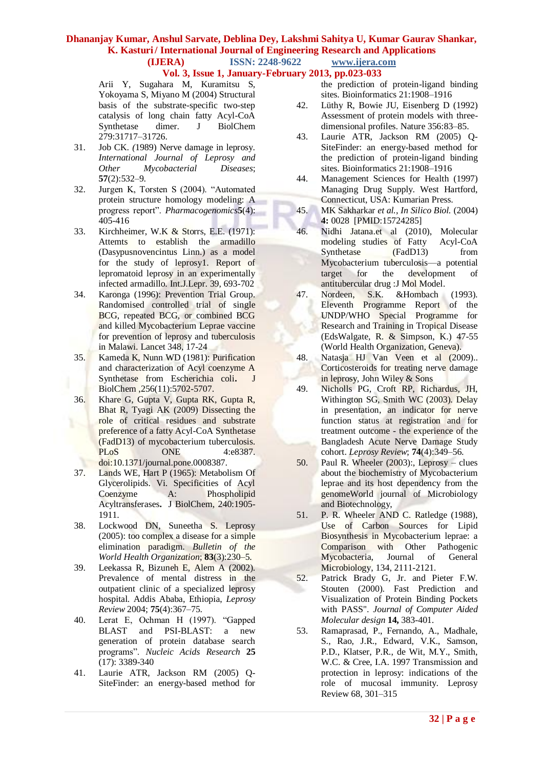### **Vol. 3, Issue 1, January-February 2013, pp.023-033**

Arii Y, Sugahara M, Kuramitsu S, Yokoyama S, Miyano M (2004) Structural basis of the substrate-specific two-step catalysis of long chain fatty Acyl-CoA Synthetase dimer. J BiolChem 279:31717–31726.

- 31. Job CK. *(*1989) Nerve damage in leprosy. *International Journal of Leprosy and Other Mycobacterial Diseases*; **57**(2):532–9.
- 32. Jurgen K, Torsten S (2004). "Automated protein structure homology modeling: A progress report". *Pharmacogenomics***5**(4): 405-416
- 33. Kirchheimer, W.K & Storrs, E.E. (1971): Attemts to establish the armadillo (Dasypusnovencintus Linn.) as a model for the study of leprosy1. Report of lepromatoid leprosy in an experimentally infected armadillo. Int.J.Lepr. 39, 693-702
- 34. Karonga (1996): Prevention Trial Group. Randomised controlled trial of single BCG, repeated BCG, or combined BCG and killed Mycobacterium Leprae vaccine for prevention of leprosy and tuberculosis in Malawi. Lancet 348, 17-24
- 35. Kameda K, Nunn WD (1981): Purification and characterization of Acyl coenzyme A Synthetase from Escherichia coli**.** J BiolChem ,256(11):5702-5707.
- 36. Khare G, Gupta V, Gupta RK, Gupta R, Bhat R, Tyagi AK (2009) Dissecting the role of critical residues and substrate preference of a fatty Acyl-CoA Synthetase (FadD13) of mycobacterium tuberculosis. PLoS ONE 4:e8387. ъ doi:10.1371/journal.pone.0008387.
- 37. Lands WE, Hart P (1965): Metabolism Of Glycerolipids. Vi. Specificities of Acyl Coenzyme A: Phospholipid Acyltransferases**.** J BiolChem, 240:1905- 1911.
- 38. Lockwood DN, Suneetha S. Leprosy (2005): too complex a disease for a simple elimination paradigm. *Bulletin of the World Health Organization*; **83**(3):230–5.
- 39. Leekassa R, Bizuneh E, Alem A (2002). Prevalence of mental distress in the outpatient clinic of a specialized leprosy hospital. Addis Ababa, Ethiopia, *Leprosy Review* 2004; **75**(4):367–75.
- 40. Lerat E, Ochman H (1997). "Gapped BLAST and PSI-BLAST: a new generation of protein database search programs‖. *Nucleic Acids Research* **25** (17): 3389-340
- 41. Laurie ATR, Jackson RM (2005) Q-SiteFinder: an energy-based method for
- the prediction of protein-ligand binding sites. Bioinformatics 21:1908–1916
- 42. Lüthy R, Bowie JU, Eisenberg D (1992) Assessment of protein models with threedimensional profiles. Nature 356:83–85.
- 43. Laurie ATR, Jackson RM (2005) Q-SiteFinder: an energy-based method for the prediction of protein-ligand binding sites. Bioinformatics 21:1908–1916
- 44. Management Sciences for Health (1997) Managing Drug Supply. West Hartford, Connecticut, USA: Kumarian Press.
- 45. MK Sakharkar *et al.*, *In Silico Biol.* (2004) **4:** 0028 [PMID:15724285]
- 46. Nidhi Jatana.et al (2010), Molecular modeling studies of Fatty Acyl-CoA Synthetase (FadD13) from Mycobacterium tuberculosis—a potential target for the development of antitubercular drug :J Mol Model.
- 47. Nordeen, S.K. &Hombach (1993). Eleventh Programme Report of the UNDP/WHO Special Programme for Research and Training in Tropical Disease (EdsWalgate, R. & Simpson, K.) 47-55 (World Health Organization, Geneva).
- 48. Natasja HJ Van Veen et al (2009).. Corticosteroids for treating nerve damage in leprosy, John Wiley & Sons
- 49. Nicholls PG, Croft RP, Richardus, JH, Withington SG, Smith WC (2003). Delay in presentation, an indicator for nerve function status at registration and for treatment outcome - the experience of the Bangladesh Acute Nerve Damage Study cohort. *Leprosy Review*; **74**(4):349–56.
- 50. Paul R. Wheeler (2003):, Leprosy clues about the biochemistry of Mycobacterium leprae and its host dependency from the genomeWorld journal of Microbiology and Biotechnology,
- 51. P. R. Wheeler AND C. Ratledge (1988), Use of Carbon Sources for Lipid Biosynthesis in Mycobacterium leprae: a Comparison with Other Pathogenic Mycobacteria, Journal of General Microbiology, 134, 2111-2121.
- 52. Patrick Brady G, Jr. and Pieter F.W. Stouten (2000). Fast Prediction and Visualization of Protein Binding Pockets with PASS". *Journal of Computer Aided Molecular design* **14,** 383-401.
- 53. Ramaprasad, P., Fernando, A., Madhale, S., Rao, J.R., Edward, V.K., Samson, P.D., Klatser, P.R., de Wit, M.Y., Smith, W.C. & Cree, I.A. 1997 Transmission and protection in leprosy: indications of the role of mucosal immunity. Leprosy Review 68, 301–315